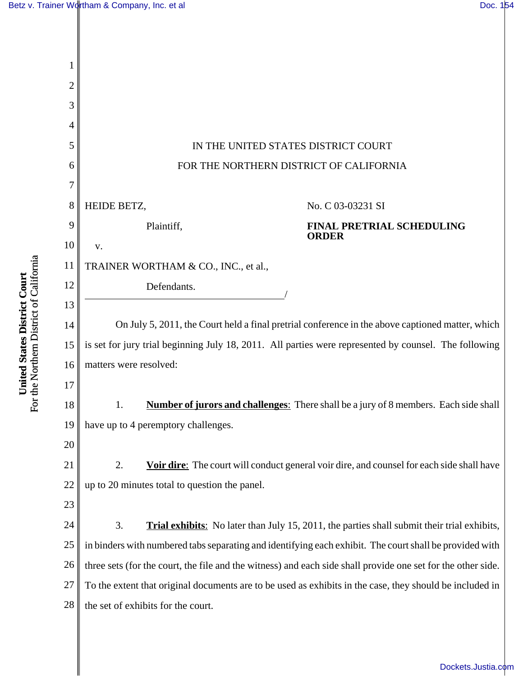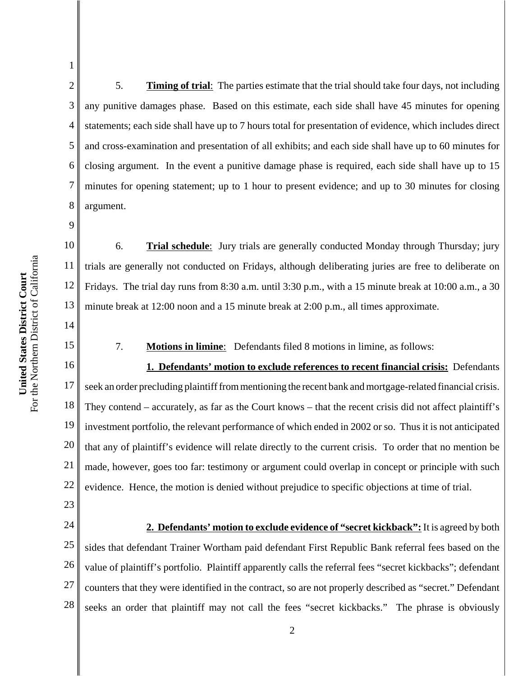2 3 4 5 6 7 8 5. **Timing of trial**: The parties estimate that the trial should take four days, not including any punitive damages phase. Based on this estimate, each side shall have 45 minutes for opening statements; each side shall have up to 7 hours total for presentation of evidence, which includes direct and cross-examination and presentation of all exhibits; and each side shall have up to 60 minutes for closing argument. In the event a punitive damage phase is required, each side shall have up to 15 minutes for opening statement; up to 1 hour to present evidence; and up to 30 minutes for closing argument.

10 12 13 6. **Trial schedule**: Jury trials are generally conducted Monday through Thursday; jury trials are generally not conducted on Fridays, although deliberating juries are free to deliberate on Fridays. The trial day runs from 8:30 a.m. until 3:30 p.m., with a 15 minute break at 10:00 a.m., a 30 minute break at 12:00 noon and a 15 minute break at 2:00 p.m., all times approximate.

7. **Motions in limine**: Defendants filed 8 motions in limine, as follows:

16 17 18 19 20 21 22 **1. Defendants' motion to exclude references to recent financial crisis:** Defendants seek an order precluding plaintiff from mentioning the recent bank and mortgage-related financial crisis. They contend – accurately, as far as the Court knows – that the recent crisis did not affect plaintiff's investment portfolio, the relevant performance of which ended in 2002 or so. Thus it is not anticipated that any of plaintiff's evidence will relate directly to the current crisis. To order that no mention be made, however, goes too far: testimony or argument could overlap in concept or principle with such evidence. Hence, the motion is denied without prejudice to specific objections at time of trial.

23

1

9

11

14

15

24

25 26 27 28 **2. Defendants' motion to exclude evidence of "secret kickback":** It is agreed by both sides that defendant Trainer Wortham paid defendant First Republic Bank referral fees based on the value of plaintiff's portfolio. Plaintiff apparently calls the referral fees "secret kickbacks"; defendant counters that they were identified in the contract, so are not properly described as "secret." Defendant seeks an order that plaintiff may not call the fees "secret kickbacks." The phrase is obviously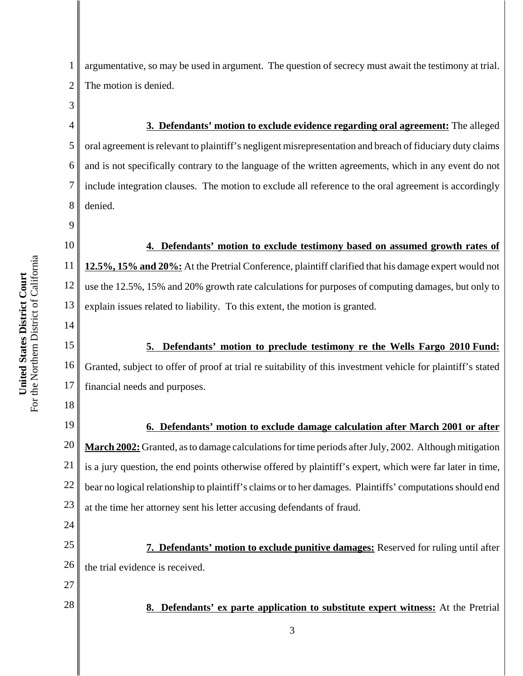3

9

14

18

24

27

28

1 2 argumentative, so may be used in argument. The question of secrecy must await the testimony at trial. The motion is denied.

4 5 6 7 8 **3. Defendants' motion to exclude evidence regarding oral agreement:** The alleged oral agreement is relevant to plaintiff's negligent misrepresentation and breach of fiduciary duty claims and is not specifically contrary to the language of the written agreements, which in any event do not include integration clauses. The motion to exclude all reference to the oral agreement is accordingly denied.

10 11 12 13 **4. Defendants' motion to exclude testimony based on assumed growth rates of 12.5%, 15% and 20%:** At the Pretrial Conference, plaintiff clarified that his damage expert would not use the 12.5%, 15% and 20% growth rate calculations for purposes of computing damages, but only to explain issues related to liability. To this extent, the motion is granted.

15 16 17 **5. Defendants' motion to preclude testimony re the Wells Fargo 2010 Fund:** Granted, subject to offer of proof at trial re suitability of this investment vehicle for plaintiff's stated financial needs and purposes.

19 20 21 22 23 **6. Defendants' motion to exclude damage calculation after March 2001 or after March 2002:** Granted, as to damage calculations for time periods after July, 2002. Although mitigation is a jury question, the end points otherwise offered by plaintiff's expert, which were far later in time, bear no logical relationship to plaintiff's claims or to her damages. Plaintiffs' computations should end at the time her attorney sent his letter accusing defendants of fraud.

25 26 **7. Defendants' motion to exclude punitive damages:** Reserved for ruling until after the trial evidence is received.

**8. Defendants' ex parte application to substitute expert witness:** At the Pretrial